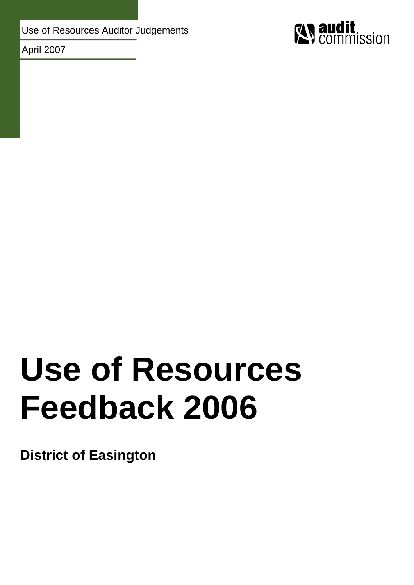Use of Resources Auditor Judgements

April 2007



# **Use of Resources Feedback 2006**

**District of Easington**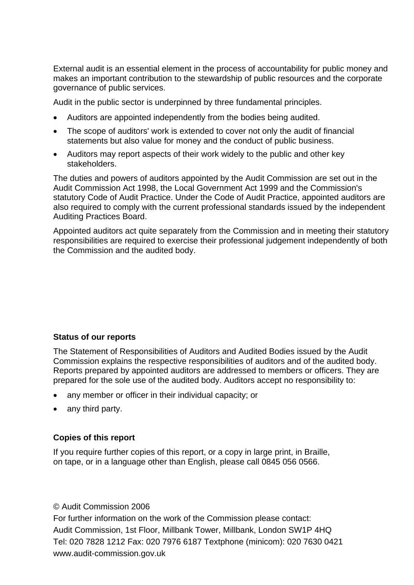External audit is an essential element in the process of accountability for public money and makes an important contribution to the stewardship of public resources and the corporate governance of public services.

Audit in the public sector is underpinned by three fundamental principles.

- Auditors are appointed independently from the bodies being audited.
- The scope of auditors' work is extended to cover not only the audit of financial statements but also value for money and the conduct of public business.
- Auditors may report aspects of their work widely to the public and other key stakeholders.

The duties and powers of auditors appointed by the Audit Commission are set out in the Audit Commission Act 1998, the Local Government Act 1999 and the Commission's statutory Code of Audit Practice. Under the Code of Audit Practice, appointed auditors are also required to comply with the current professional standards issued by the independent Auditing Practices Board.

Appointed auditors act quite separately from the Commission and in meeting their statutory responsibilities are required to exercise their professional judgement independently of both the Commission and the audited body.

## **Status of our reports**

The Statement of Responsibilities of Auditors and Audited Bodies issued by the Audit Commission explains the respective responsibilities of auditors and of the audited body. Reports prepared by appointed auditors are addressed to members or officers. They are prepared for the sole use of the audited body. Auditors accept no responsibility to:

- any member or officer in their individual capacity; or
- any third party.

## **Copies of this report**

If you require further copies of this report, or a copy in large print, in Braille, on tape, or in a language other than English, please call 0845 056 0566.

#### © Audit Commission 2006

For further information on the work of the Commission please contact: Audit Commission, 1st Floor, Millbank Tower, Millbank, London SW1P 4HQ Tel: 020 7828 1212 Fax: 020 7976 6187 Textphone (minicom): 020 7630 0421 www.audit-commission.gov.uk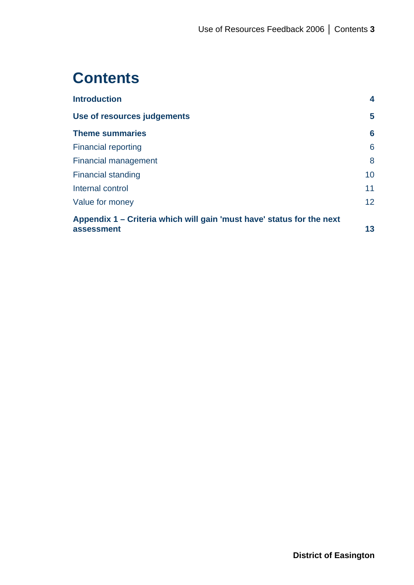# **Contents**

| <b>Introduction</b>                                                   | 4               |
|-----------------------------------------------------------------------|-----------------|
| Use of resources judgements                                           | 5               |
| <b>Theme summaries</b>                                                | 6               |
| <b>Financial reporting</b>                                            | 6               |
| Financial management                                                  | 8               |
| <b>Financial standing</b>                                             | 10              |
| Internal control                                                      | 11              |
| Value for money                                                       | 12 <sup>2</sup> |
| Appendix 1 – Criteria which will gain 'must have' status for the next |                 |
| assessment                                                            | 13              |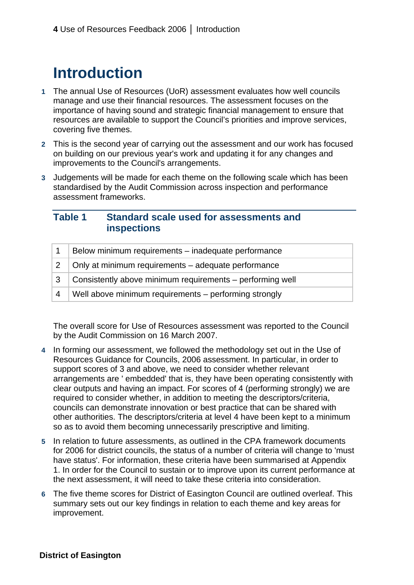# **Introduction**

- **1** The annual Use of Resources (UoR) assessment evaluates how well councils manage and use their financial resources. The assessment focuses on the importance of having sound and strategic financial management to ensure that resources are available to support the Council's priorities and improve services, covering five themes.
- **2** This is the second year of carrying out the assessment and our work has focused on building on our previous year's work and updating it for any changes and improvements to the Council's arrangements.
- **3** Judgements will be made for each theme on the following scale which has been standardised by the Audit Commission across inspection and performance assessment frameworks.

## **Table 1 Standard scale used for assessments and inspections**

|                | Below minimum requirements - inadequate performance                       |
|----------------|---------------------------------------------------------------------------|
|                | $\vert$ 2 $\vert$ Only at minimum requirements – adequate performance     |
|                | $\mid$ 3 $\mid$ Consistently above minimum requirements – performing well |
| $\overline{4}$ | Well above minimum requirements – performing strongly                     |

The overall score for Use of Resources assessment was reported to the Council by the Audit Commission on 16 March 2007.

- **4** In forming our assessment, we followed the methodology set out in the Use of Resources Guidance for Councils, 2006 assessment. In particular, in order to support scores of 3 and above, we need to consider whether relevant arrangements are ' embedded' that is, they have been operating consistently with clear outputs and having an impact. For scores of 4 (performing strongly) we are required to consider whether, in addition to meeting the descriptors/criteria, councils can demonstrate innovation or best practice that can be shared with other authorities. The descriptors/criteria at level 4 have been kept to a minimum so as to avoid them becoming unnecessarily prescriptive and limiting.
- **5** In relation to future assessments, as outlined in the CPA framework documents for 2006 for district councils, the status of a number of criteria will change to 'must have status'. For information, these criteria have been summarised at Appendix 1. In order for the Council to sustain or to improve upon its current performance at the next assessment, it will need to take these criteria into consideration.
- **6** The five theme scores for District of Easington Council are outlined overleaf. This summary sets out our key findings in relation to each theme and key areas for improvement.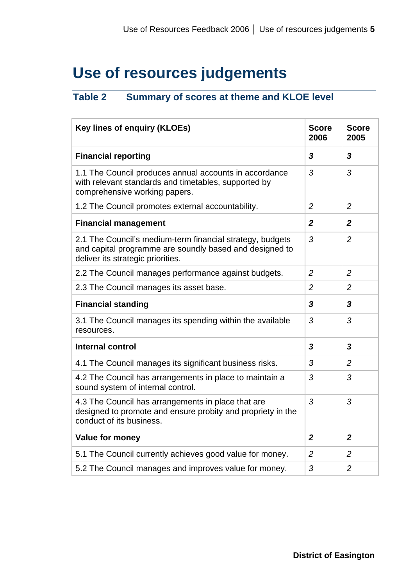# **Use of resources judgements**

## **Table 2 Summary of scores at theme and KLOE level**

| <b>Key lines of enquiry (KLOEs)</b>                                                                                                                       | <b>Score</b><br>2006 | <b>Score</b><br>2005    |
|-----------------------------------------------------------------------------------------------------------------------------------------------------------|----------------------|-------------------------|
| <b>Financial reporting</b>                                                                                                                                | 3                    | $\overline{\mathbf{3}}$ |
| 1.1 The Council produces annual accounts in accordance<br>with relevant standards and timetables, supported by<br>comprehensive working papers.           | 3                    | 3                       |
| 1.2 The Council promotes external accountability.                                                                                                         | $\overline{2}$       | $\overline{2}$          |
| <b>Financial management</b>                                                                                                                               | $\boldsymbol{2}$     | $\overline{2}$          |
| 2.1 The Council's medium-term financial strategy, budgets<br>and capital programme are soundly based and designed to<br>deliver its strategic priorities. | 3                    | $\overline{2}$          |
| 2.2 The Council manages performance against budgets.                                                                                                      | $\overline{2}$       | $\overline{2}$          |
| 2.3 The Council manages its asset base.                                                                                                                   | $\overline{2}$       | 2                       |
| <b>Financial standing</b>                                                                                                                                 | $\mathbf{3}$         | 3                       |
| 3.1 The Council manages its spending within the available<br>resources.                                                                                   | 3                    | 3                       |
| <b>Internal control</b>                                                                                                                                   | 3                    | $\mathbf{3}$            |
| 4.1 The Council manages its significant business risks.                                                                                                   | 3                    | $\overline{2}$          |
| 4.2 The Council has arrangements in place to maintain a<br>sound system of internal control.                                                              | 3                    | 3                       |
| 4.3 The Council has arrangements in place that are<br>designed to promote and ensure probity and propriety in the<br>conduct of its business.             | 3                    | 3                       |
| <b>Value for money</b>                                                                                                                                    | $\overline{2}$       | $\overline{2}$          |
| 5.1 The Council currently achieves good value for money.                                                                                                  | $\overline{2}$       | 2                       |
| 5.2 The Council manages and improves value for money.                                                                                                     | 3                    | $\overline{2}$          |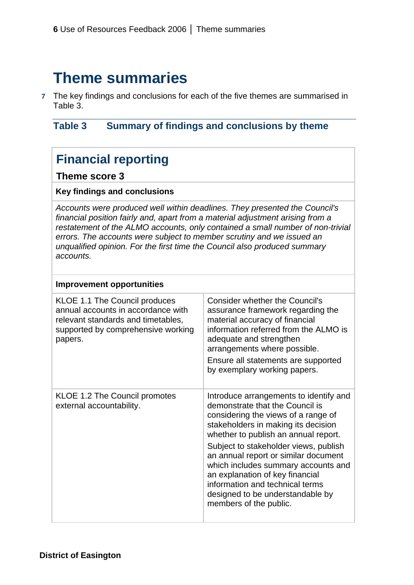## **Theme summaries**

**7**  The key findings and conclusions for each of the five themes are summarised in Table 3.

## **Table 3 Summary of findings and conclusions by theme**

## **Financial reporting**

## **Theme score 3**

## **Key findings and conclusions**

*Accounts were produced well within deadlines. They presented the Council's financial position fairly and, apart from a material adjustment arising from a restatement of the ALMO accounts, only contained a small number of non-trivial errors. The accounts were subject to member scrutiny and we issued an unqualified opinion. For the first time the Council also produced summary accounts.* 

#### **Improvement opportunities**  KLOE 1.1 The Council produces annual accounts in accordance with relevant standards and timetables, supported by comprehensive working papers. Consider whether the Council's assurance framework regarding the material accuracy of financial information referred from the ALMO is adequate and strengthen arrangements where possible. Ensure all statements are supported by exemplary working papers. KLOE 1.2 The Council promotes | Introduce arrangements to identify and external accountability.  $\Box$  demonstrate that the Council is considering the views of a range of stakeholders in making its decision whether to publish an annual report. Subject to stakeholder views, publish an annual report or similar document which includes summary accounts and an explanation of key financial information and technical terms designed to be understandable by members of the public.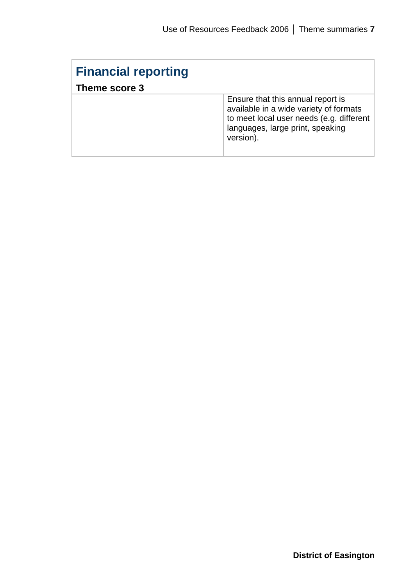| <b>Financial reporting</b><br>Theme score 3 |                                                                                                                                                                          |
|---------------------------------------------|--------------------------------------------------------------------------------------------------------------------------------------------------------------------------|
|                                             | Ensure that this annual report is<br>available in a wide variety of formats<br>to meet local user needs (e.g. different<br>languages, large print, speaking<br>version). |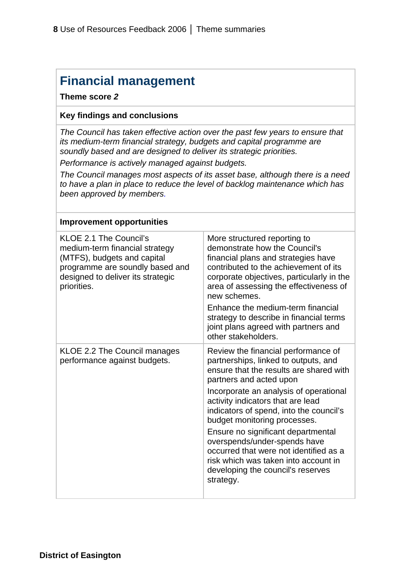## **Financial management**

## **Theme score** *2*

## **Key findings and conclusions**

*The Council has taken effective action over the past few years to ensure that its medium-term financial strategy, budgets and capital programme are soundly based and are designed to deliver its strategic priorities. Performance is actively managed against budgets.* 

*The Council manages most aspects of its asset base, although there is a need to have a plan in place to reduce the level of backlog maintenance which has been approved by members.* 

| <b>Improvement opportunities</b>                                                                                                                                               |                                                                                                                                                                                                                                                                                                                                                                                                                                                                                                                       |
|--------------------------------------------------------------------------------------------------------------------------------------------------------------------------------|-----------------------------------------------------------------------------------------------------------------------------------------------------------------------------------------------------------------------------------------------------------------------------------------------------------------------------------------------------------------------------------------------------------------------------------------------------------------------------------------------------------------------|
| KLOE 2.1 The Council's<br>medium-term financial strategy<br>(MTFS), budgets and capital<br>programme are soundly based and<br>designed to deliver its strategic<br>priorities. | More structured reporting to<br>demonstrate how the Council's<br>financial plans and strategies have<br>contributed to the achievement of its<br>corporate objectives, particularly in the<br>area of assessing the effectiveness of<br>new schemes.<br>Enhance the medium-term financial<br>strategy to describe in financial terms<br>joint plans agreed with partners and<br>other stakeholders.                                                                                                                   |
| KLOE 2.2 The Council manages<br>performance against budgets.                                                                                                                   | Review the financial performance of<br>partnerships, linked to outputs, and<br>ensure that the results are shared with<br>partners and acted upon<br>Incorporate an analysis of operational<br>activity indicators that are lead<br>indicators of spend, into the council's<br>budget monitoring processes.<br>Ensure no significant departmental<br>overspends/under-spends have<br>occurred that were not identified as a<br>risk which was taken into account in<br>developing the council's reserves<br>strategy. |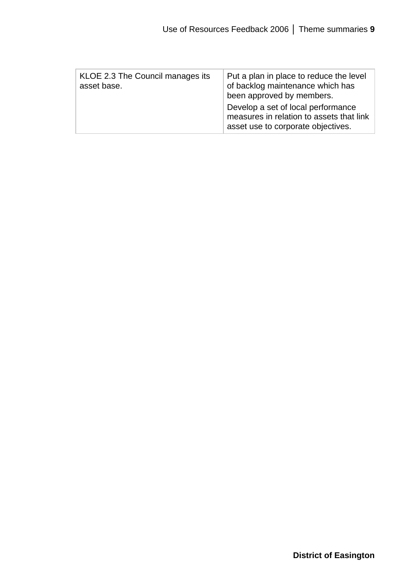| KLOE 2.3 The Council manages its<br>asset base. | Put a plan in place to reduce the level<br>of backlog maintenance which has<br>been approved by members.<br>Develop a set of local performance<br>measures in relation to assets that link<br>asset use to corporate objectives. |
|-------------------------------------------------|----------------------------------------------------------------------------------------------------------------------------------------------------------------------------------------------------------------------------------|
|-------------------------------------------------|----------------------------------------------------------------------------------------------------------------------------------------------------------------------------------------------------------------------------------|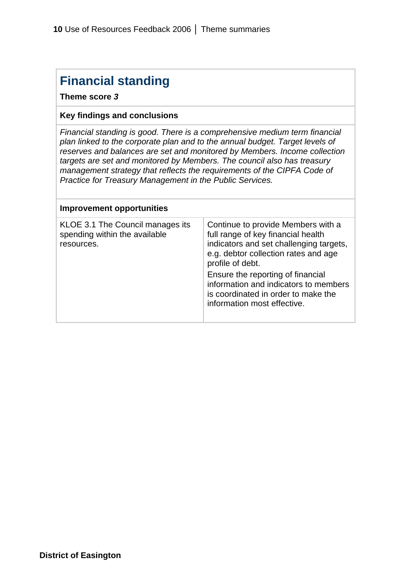## **Financial standing**

**Theme score** *3* 

## **Key findings and conclusions**

*Financial standing is good. There is a comprehensive medium term financial plan linked to the corporate plan and to the annual budget. Target levels of reserves and balances are set and monitored by Members. Income collection targets are set and monitored by Members. The council also has treasury management strategy that reflects the requirements of the CIPFA Code of Practice for Treasury Management in the Public Services.* 

| <b>Improvement opportunities</b>                                                |                                                                                                                                                                                                                                                                                                                                     |
|---------------------------------------------------------------------------------|-------------------------------------------------------------------------------------------------------------------------------------------------------------------------------------------------------------------------------------------------------------------------------------------------------------------------------------|
| KLOE 3.1 The Council manages its<br>spending within the available<br>resources. | Continue to provide Members with a<br>full range of key financial health<br>indicators and set challenging targets,<br>e.g. debtor collection rates and age<br>profile of debt.<br>Ensure the reporting of financial<br>information and indicators to members<br>is coordinated in order to make the<br>information most effective. |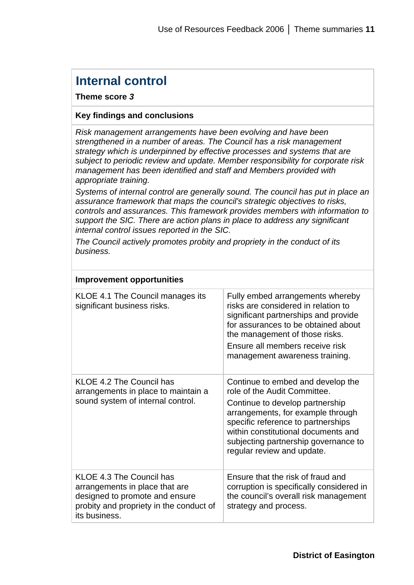## **Internal control**

## **Theme score** *3*

## **Key findings and conclusions**

*Risk management arrangements have been evolving and have been strengthened in a number of areas. The Council has a risk management strategy which is underpinned by effective processes and systems that are subject to periodic review and update. Member responsibility for corporate risk management has been identified and staff and Members provided with appropriate training.* 

*Systems of internal control are generally sound. The council has put in place an assurance framework that maps the council's strategic objectives to risks, controls and assurances. This framework provides members with information to support the SIC. There are action plans in place to address any significant internal control issues reported in the SIC.* 

*The Council actively promotes probity and propriety in the conduct of its business.* 

| <b>Improvement opportunities</b>                                                                                                                         |                                                                                                                                                                                                                                                                                              |
|----------------------------------------------------------------------------------------------------------------------------------------------------------|----------------------------------------------------------------------------------------------------------------------------------------------------------------------------------------------------------------------------------------------------------------------------------------------|
| KLOE 4.1 The Council manages its<br>significant business risks.                                                                                          | Fully embed arrangements whereby<br>risks are considered in relation to<br>significant partnerships and provide<br>for assurances to be obtained about<br>the management of those risks.<br>Ensure all members receive risk<br>management awareness training.                                |
| KLOE 4.2 The Council has<br>arrangements in place to maintain a<br>sound system of internal control.                                                     | Continue to embed and develop the<br>role of the Audit Committee.<br>Continue to develop partnership<br>arrangements, for example through<br>specific reference to partnerships<br>within constitutional documents and<br>subjecting partnership governance to<br>regular review and update. |
| KLOE 4.3 The Council has<br>arrangements in place that are<br>designed to promote and ensure<br>probity and propriety in the conduct of<br>its business. | Ensure that the risk of fraud and<br>corruption is specifically considered in<br>the council's overall risk management<br>strategy and process.                                                                                                                                              |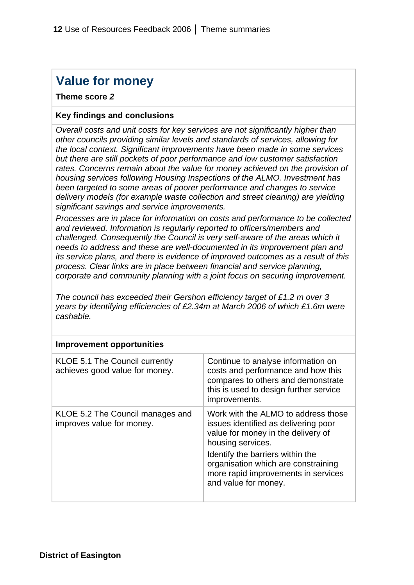## **Value for money**

## **Theme score** *2*

## **Key findings and conclusions**

*Overall costs and unit costs for key services are not significantly higher than other councils providing similar levels and standards of services, allowing for the local context. Significant improvements have been made in some services but there are still pockets of poor performance and low customer satisfaction rates. Concerns remain about the value for money achieved on the provision of housing services following Housing Inspections of the ALMO. Investment has been targeted to some areas of poorer performance and changes to service delivery models (for example waste collection and street cleaning) are yielding significant savings and service improvements.* 

*Processes are in place for information on costs and performance to be collected and reviewed. Information is regularly reported to officers/members and challenged. Consequently the Council is very self-aware of the areas which it needs to address and these are well-documented in its improvement plan and its service plans, and there is evidence of improved outcomes as a result of this process. Clear links are in place between financial and service planning, corporate and community planning with a joint focus on securing improvement.* 

*The council has exceeded their Gershon efficiency target of £1.2 m over 3 years by identifying efficiencies of £2.34m at March 2006 of which £1.6m were cashable.* 

| <b>Improvement opportunities</b>                                 |                                                                                                                                                                                                                                                                                  |
|------------------------------------------------------------------|----------------------------------------------------------------------------------------------------------------------------------------------------------------------------------------------------------------------------------------------------------------------------------|
| KLOE 5.1 The Council currently<br>achieves good value for money. | Continue to analyse information on<br>costs and performance and how this<br>compares to others and demonstrate<br>this is used to design further service<br>improvements.                                                                                                        |
| KLOE 5.2 The Council manages and<br>improves value for money.    | Work with the ALMO to address those<br>issues identified as delivering poor<br>value for money in the delivery of<br>housing services.<br>Identify the barriers within the<br>organisation which are constraining<br>more rapid improvements in services<br>and value for money. |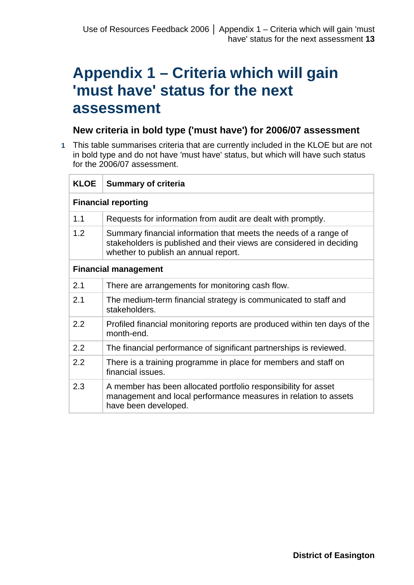# **Appendix 1 – Criteria which will gain 'must have' status for the next assessment**

## **New criteria in bold type ('must have') for 2006/07 assessment**

**1** This table summarises criteria that are currently included in the KLOE but are not in bold type and do not have 'must have' status, but which will have such status for the 2006/07 assessment.

| <b>KLOE</b>                 | <b>Summary of criteria</b>                                                                                                                                                       |  |  |
|-----------------------------|----------------------------------------------------------------------------------------------------------------------------------------------------------------------------------|--|--|
|                             | <b>Financial reporting</b>                                                                                                                                                       |  |  |
| 1.1                         | Requests for information from audit are dealt with promptly.                                                                                                                     |  |  |
| 1.2                         | Summary financial information that meets the needs of a range of<br>stakeholders is published and their views are considered in deciding<br>whether to publish an annual report. |  |  |
| <b>Financial management</b> |                                                                                                                                                                                  |  |  |
| 2.1                         | There are arrangements for monitoring cash flow.                                                                                                                                 |  |  |
| 2.1                         | The medium-term financial strategy is communicated to staff and<br>stakeholders.                                                                                                 |  |  |
| 2.2                         | Profiled financial monitoring reports are produced within ten days of the<br>month-end.                                                                                          |  |  |
| 2.2                         | The financial performance of significant partnerships is reviewed.                                                                                                               |  |  |
| 2.2                         | There is a training programme in place for members and staff on<br>financial issues.                                                                                             |  |  |
| 2.3                         | A member has been allocated portfolio responsibility for asset<br>management and local performance measures in relation to assets<br>have been developed.                        |  |  |